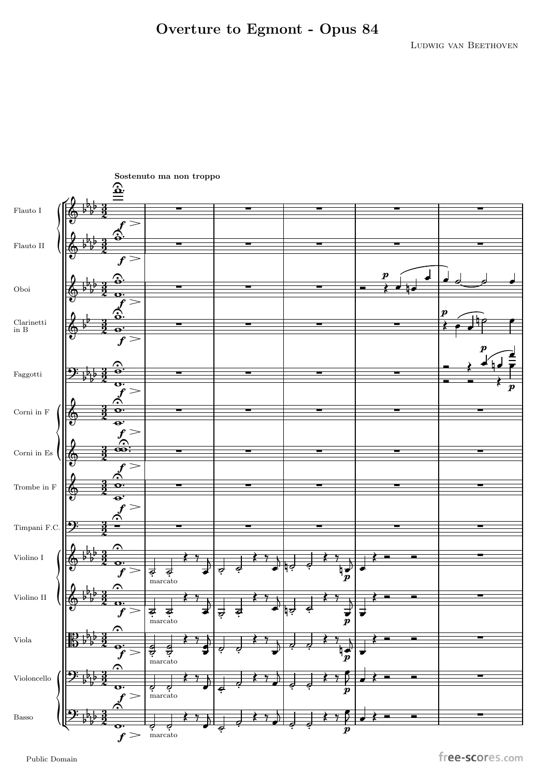Ludwig van Beethoven

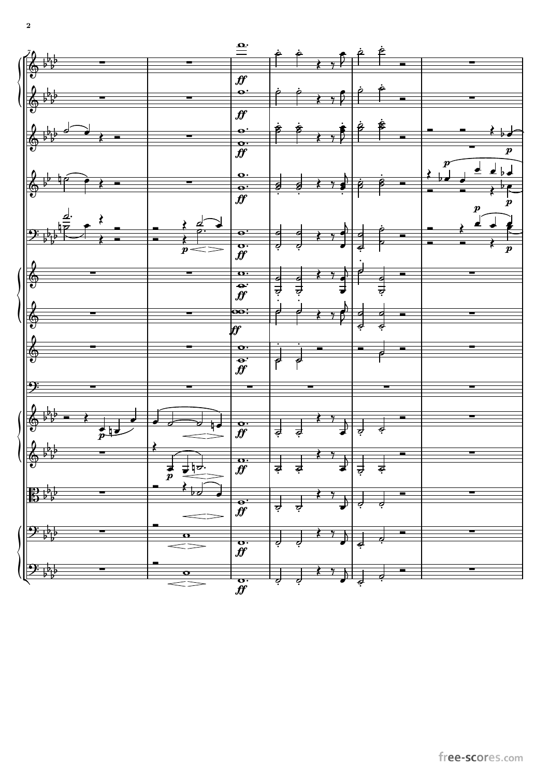

 $\bf{2}$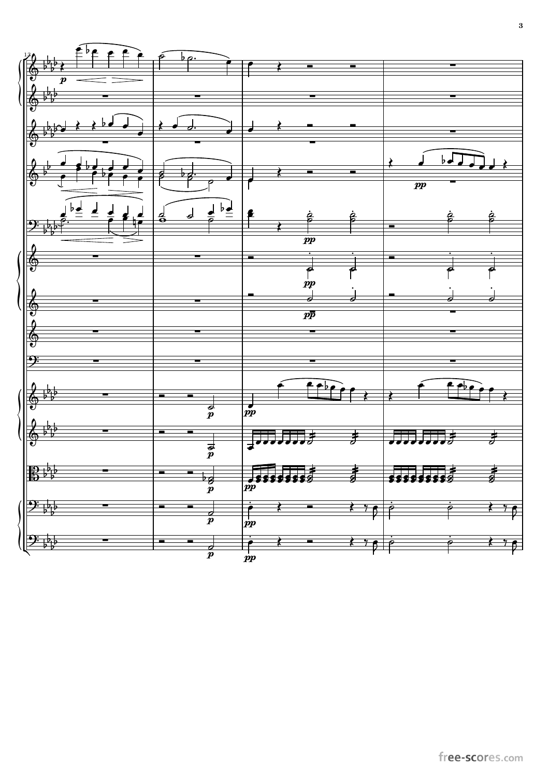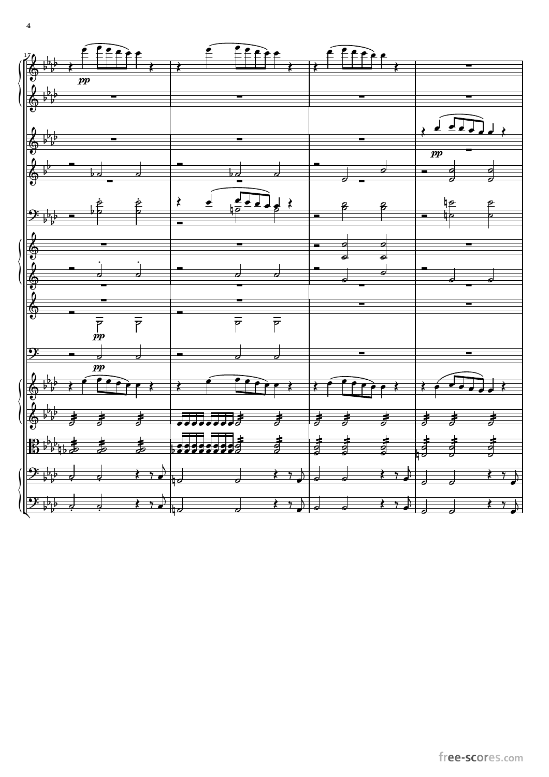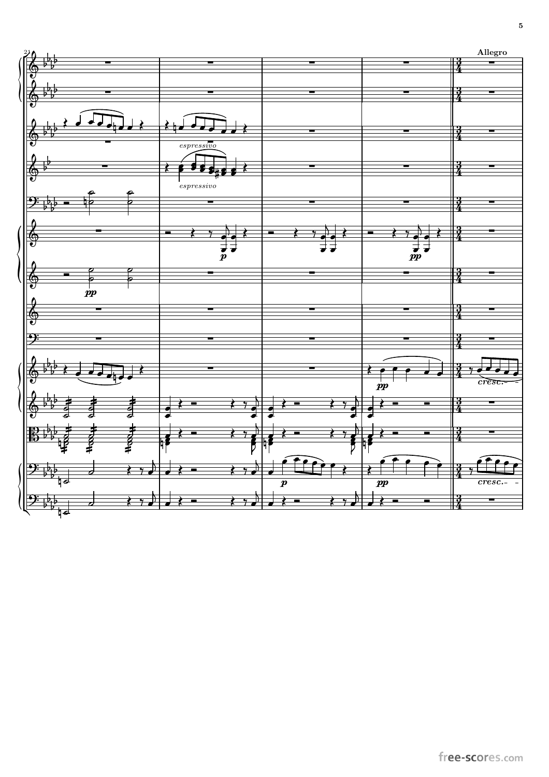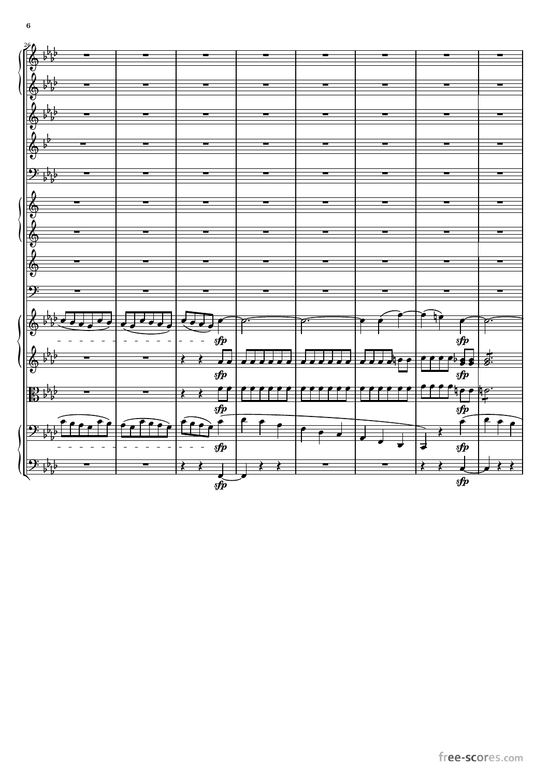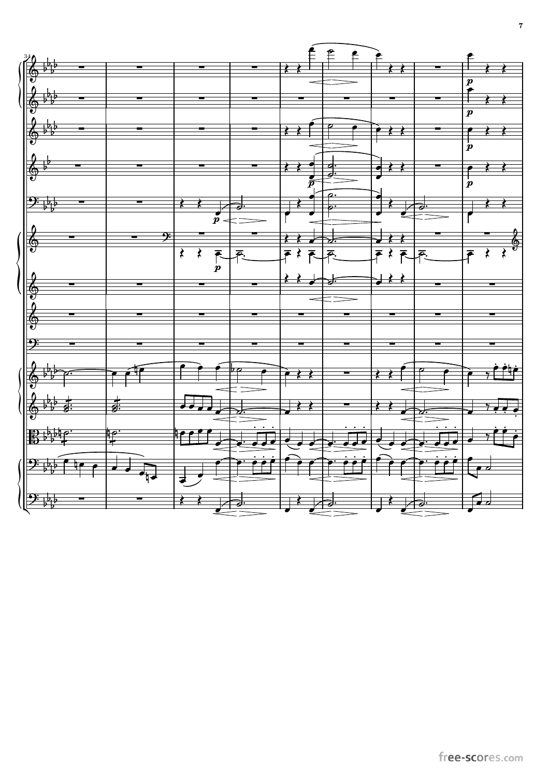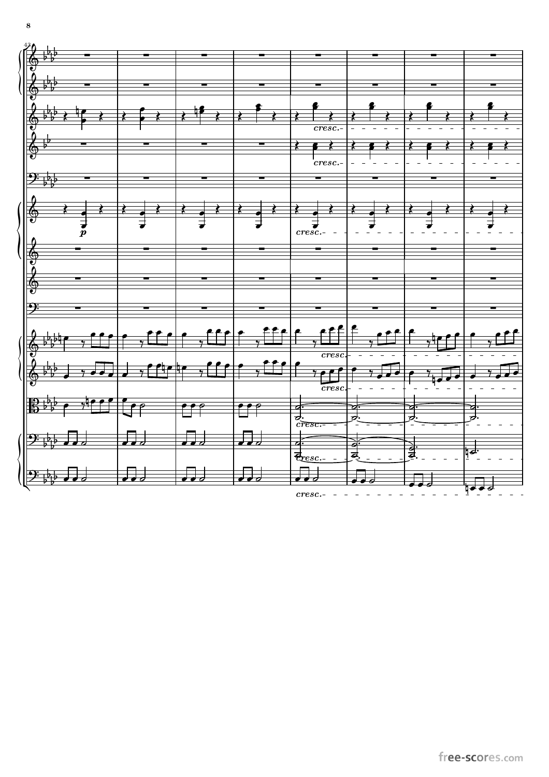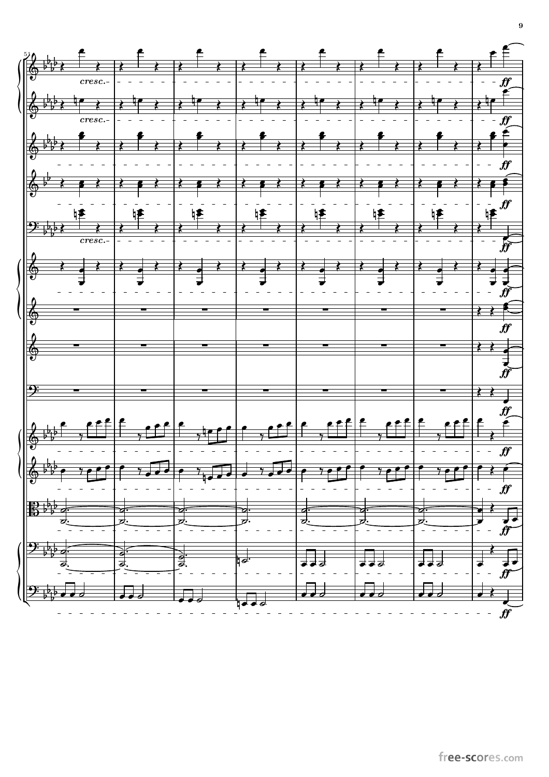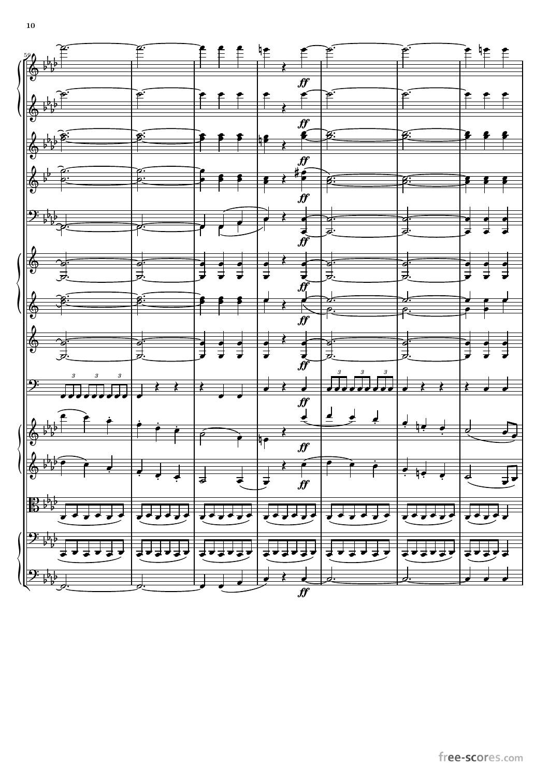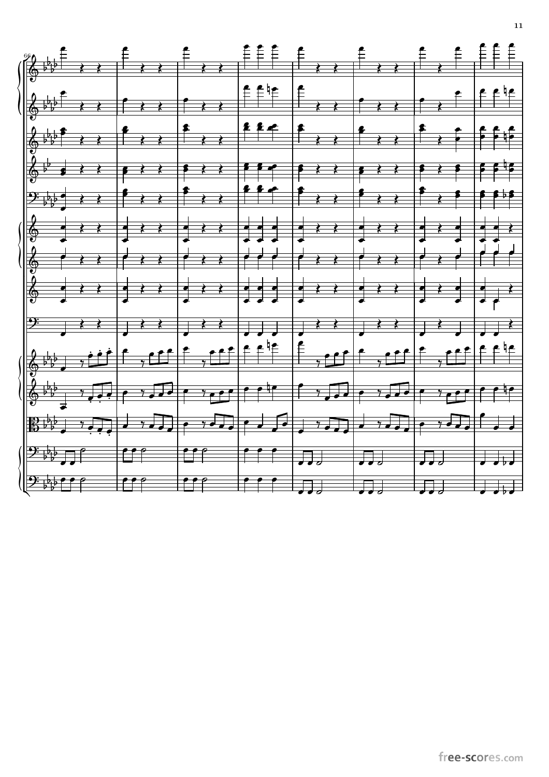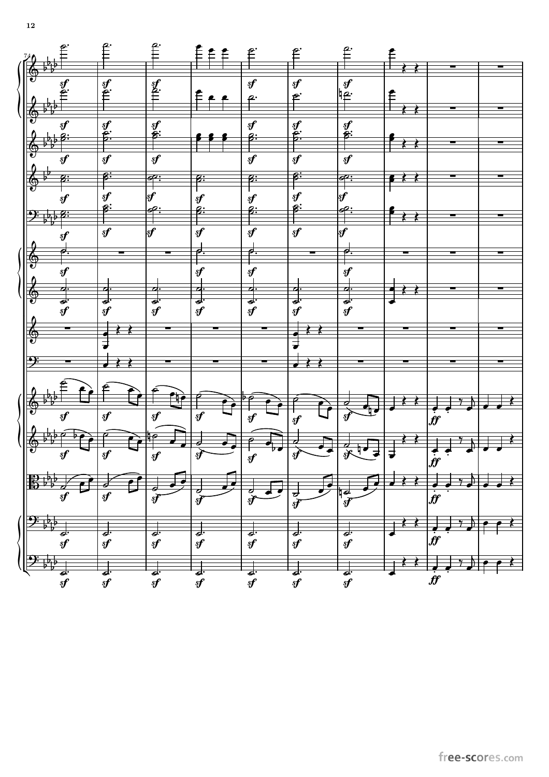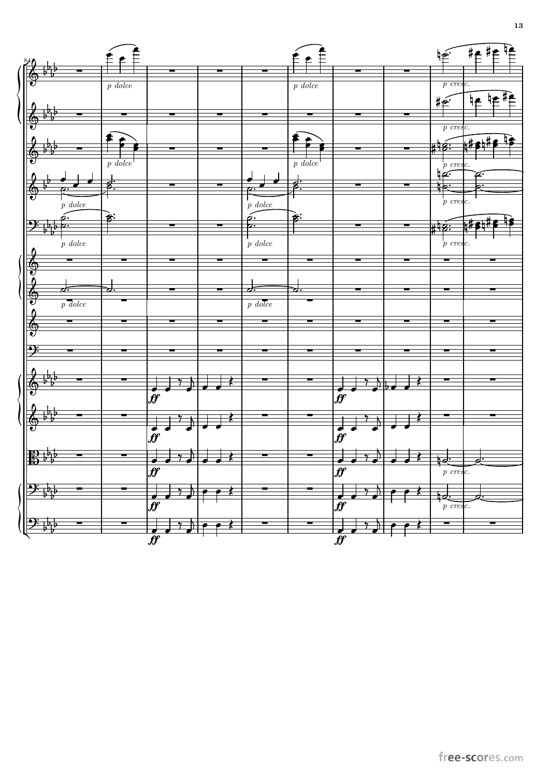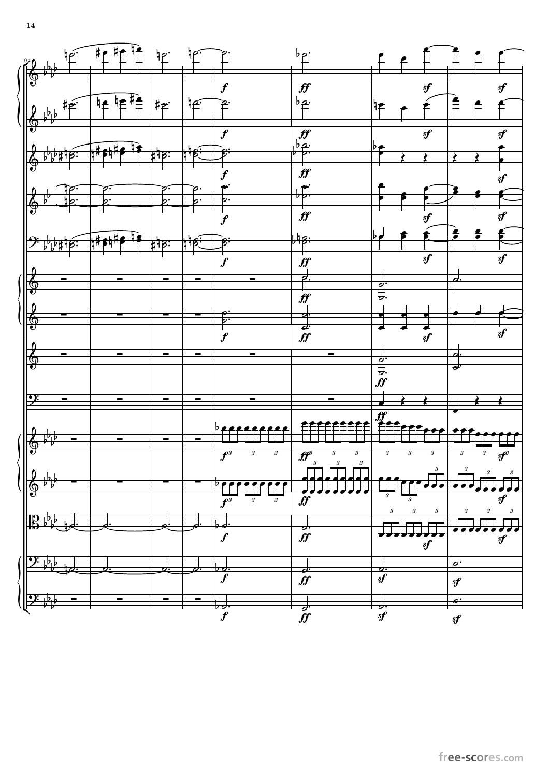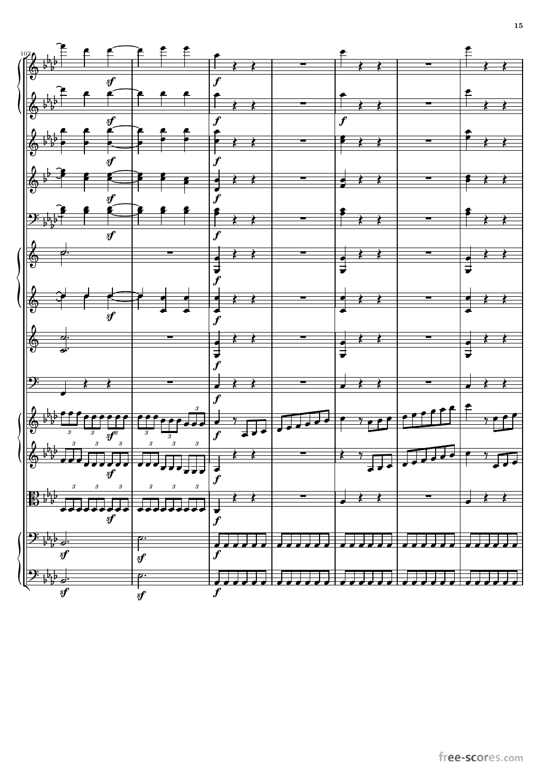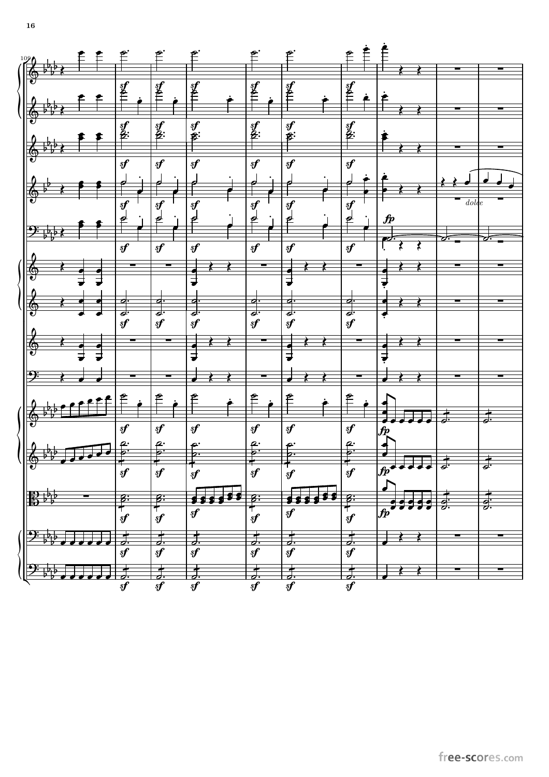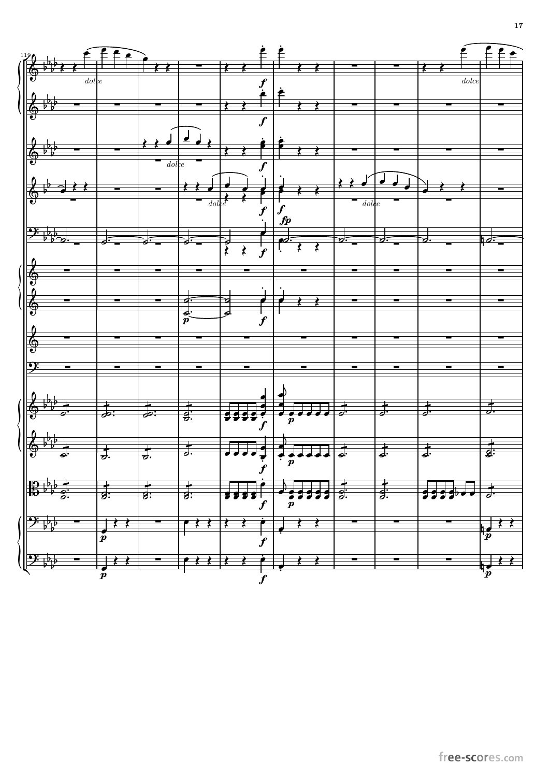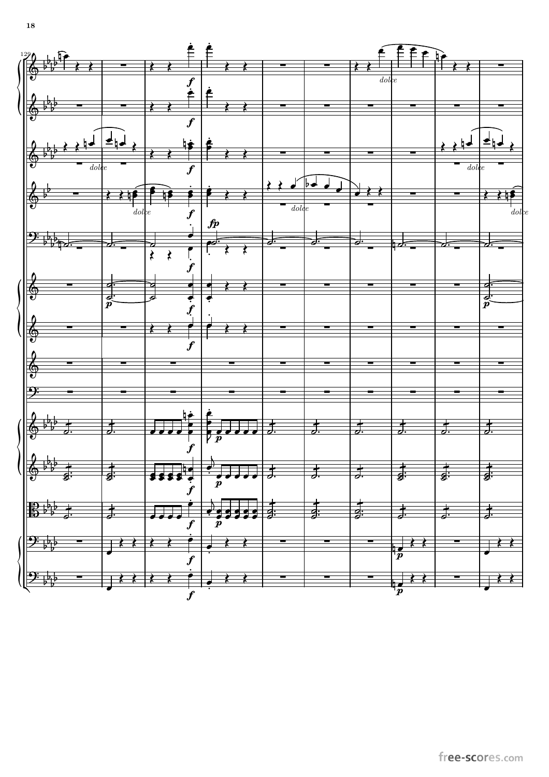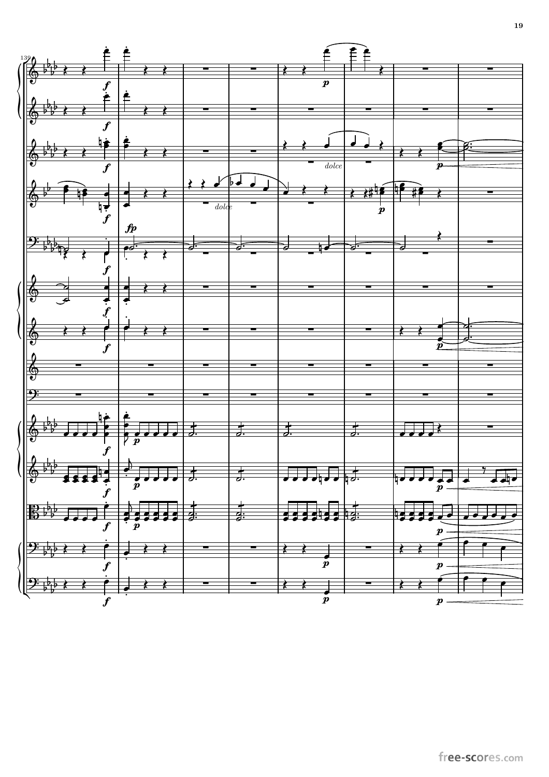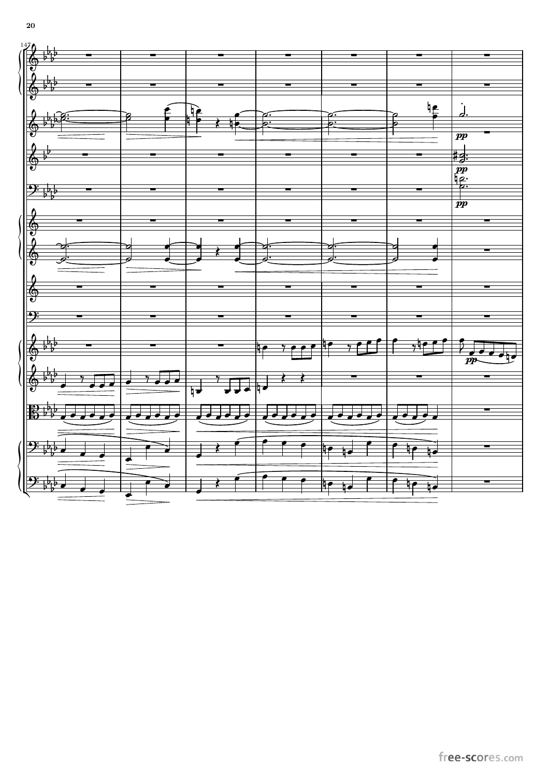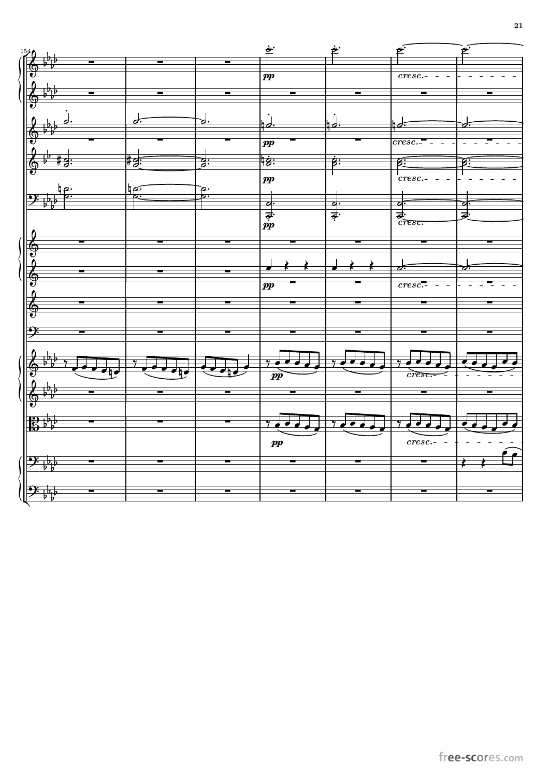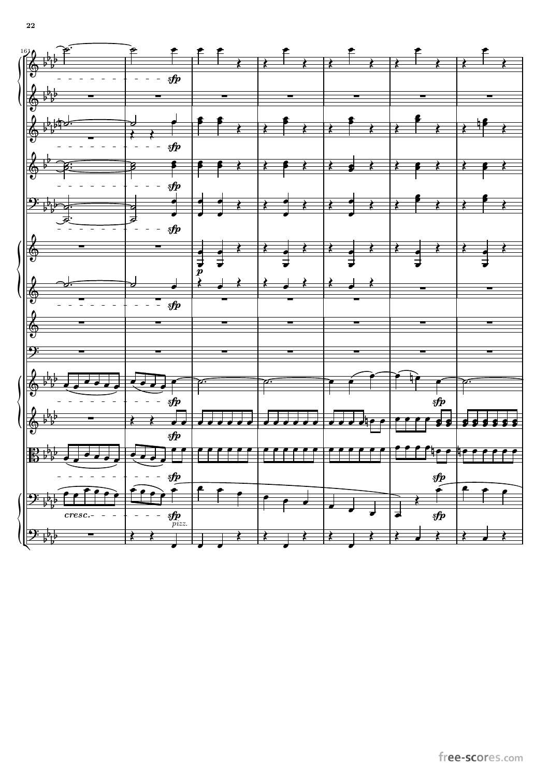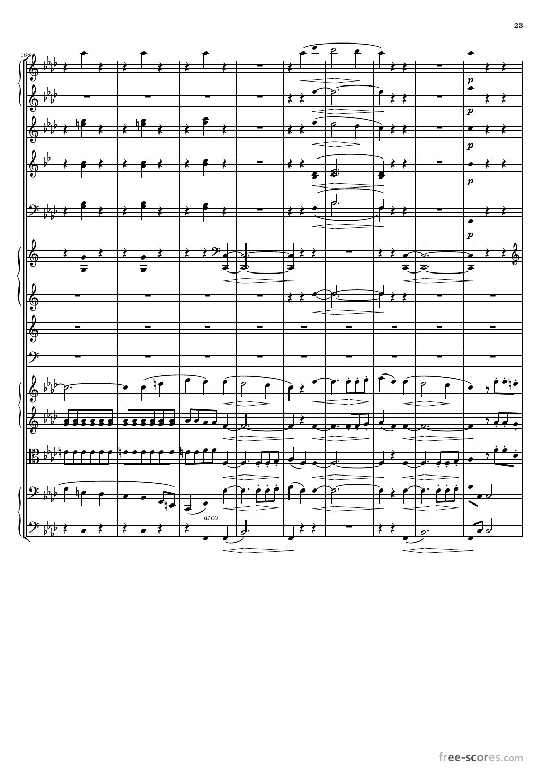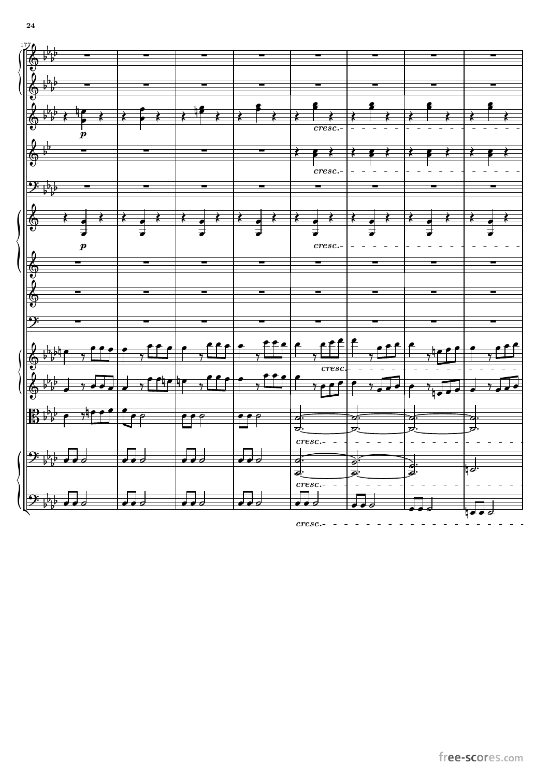

 $\bf{24}$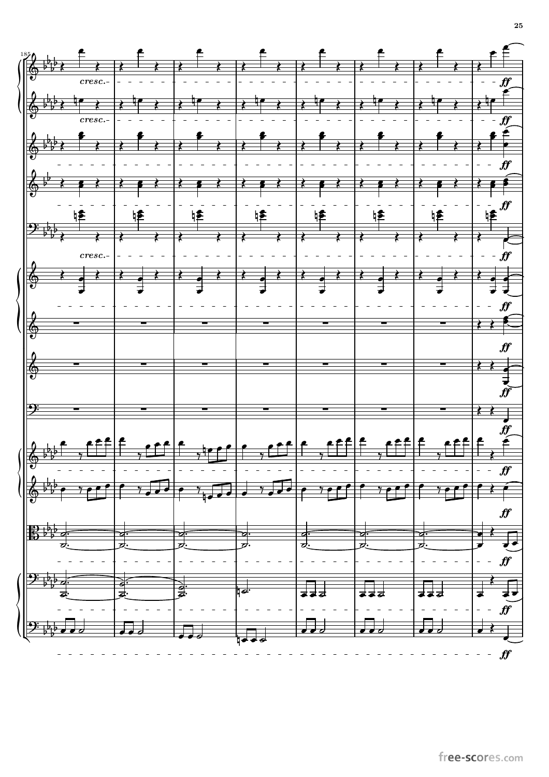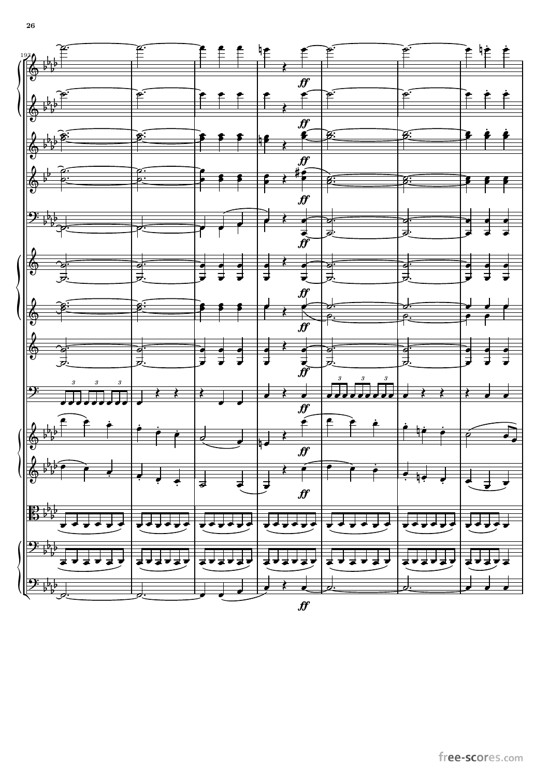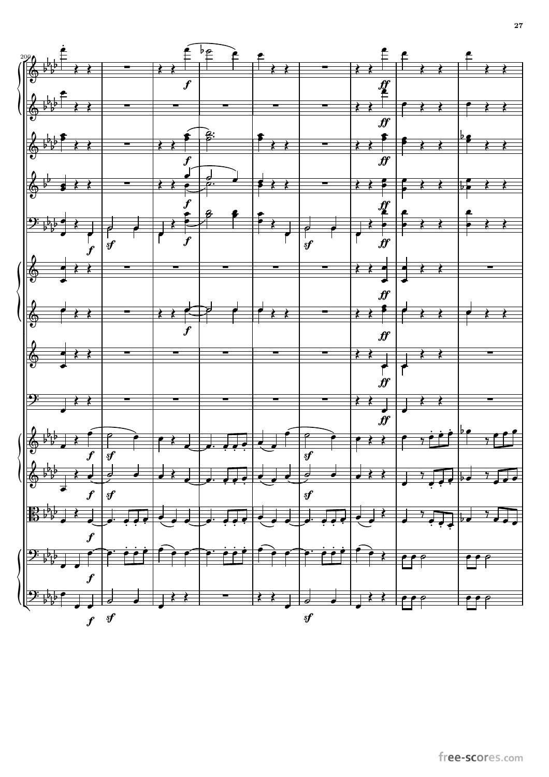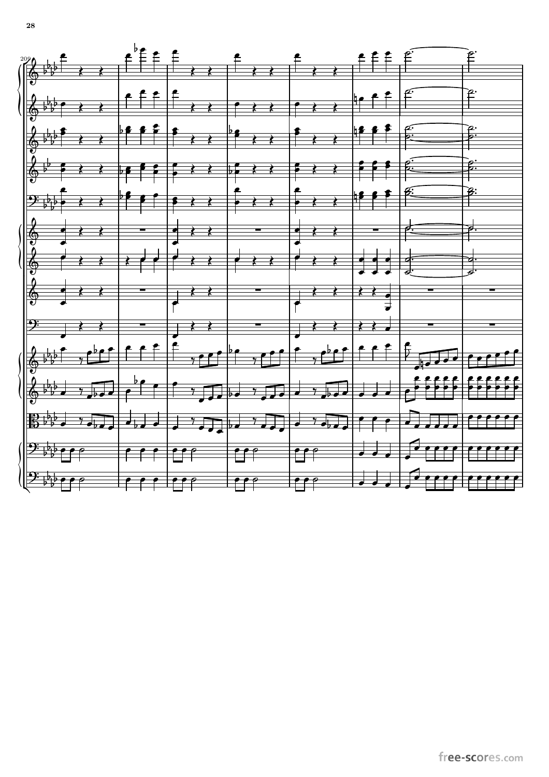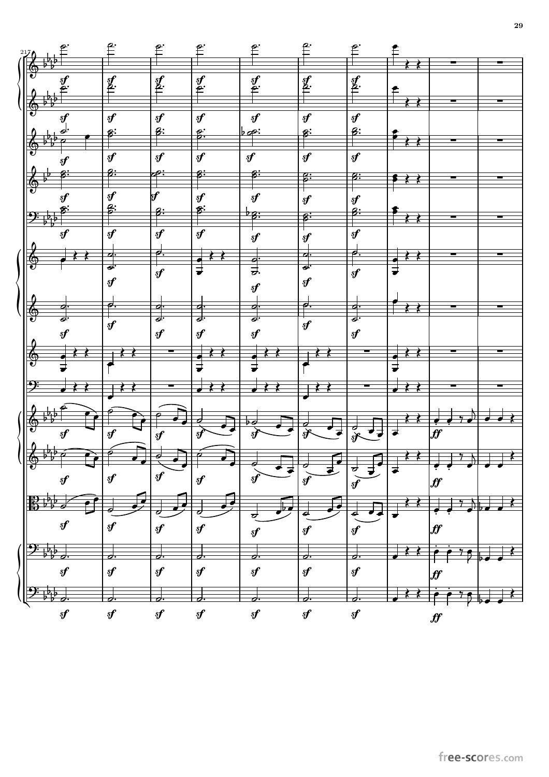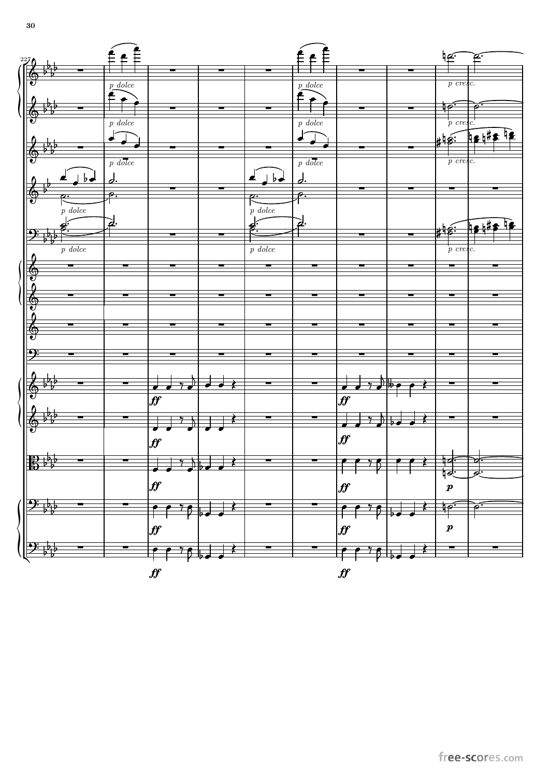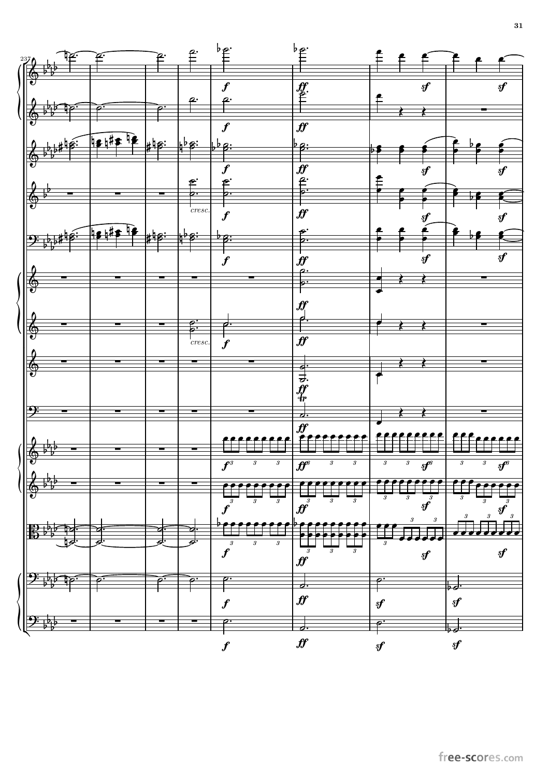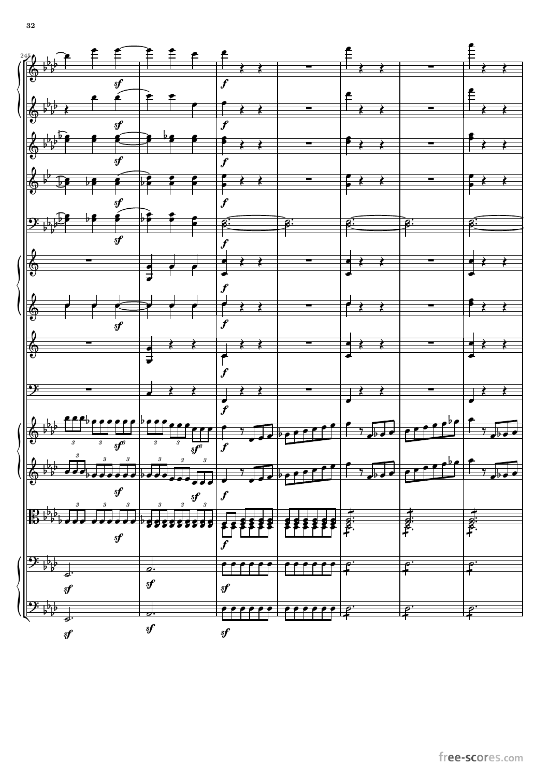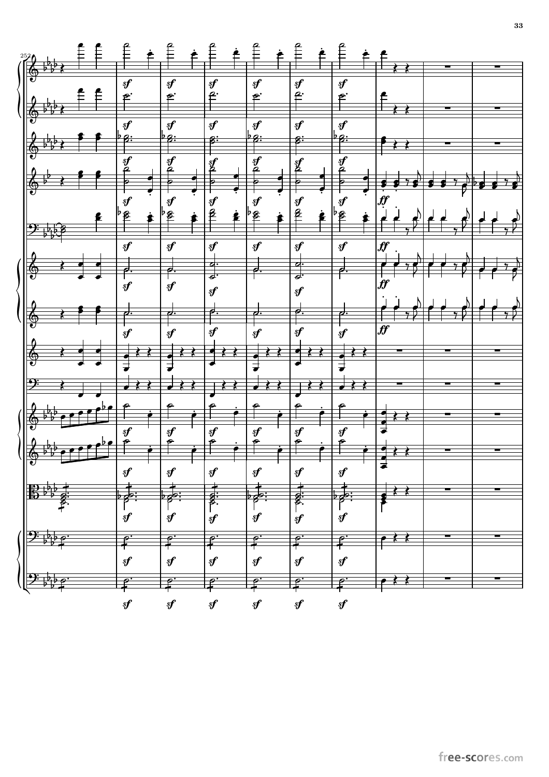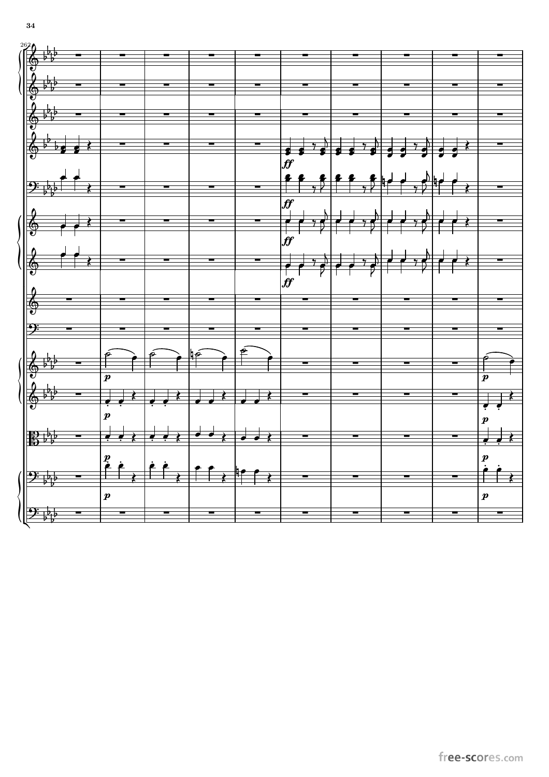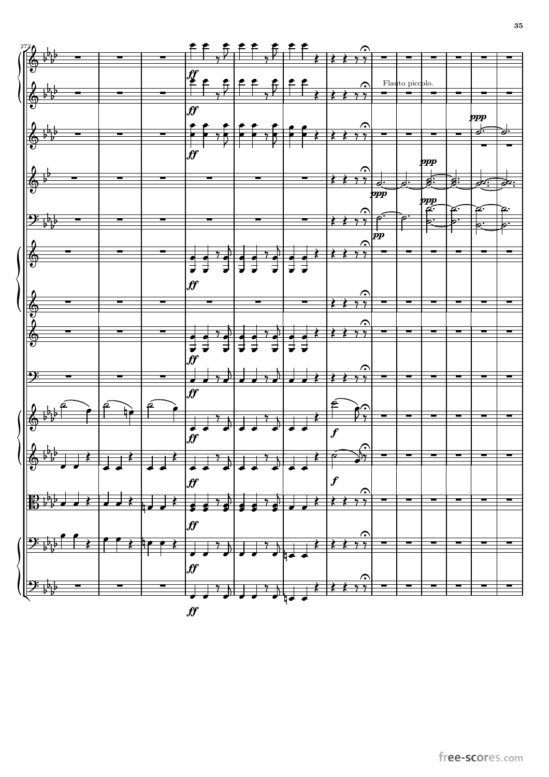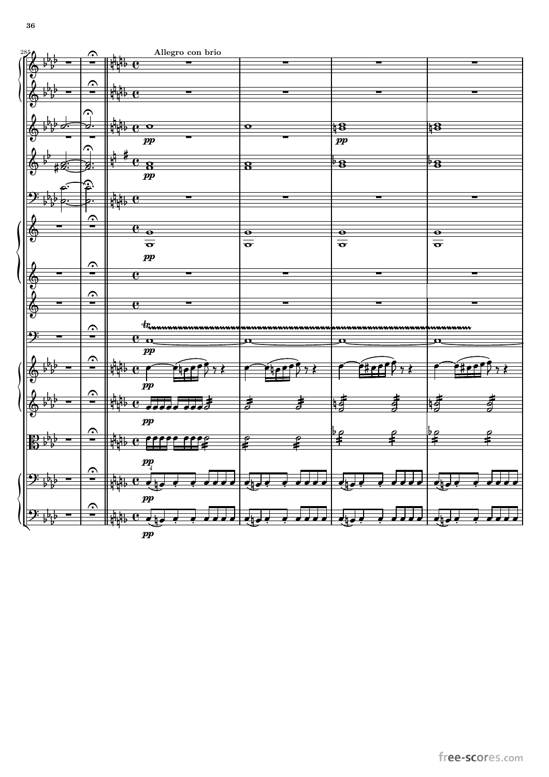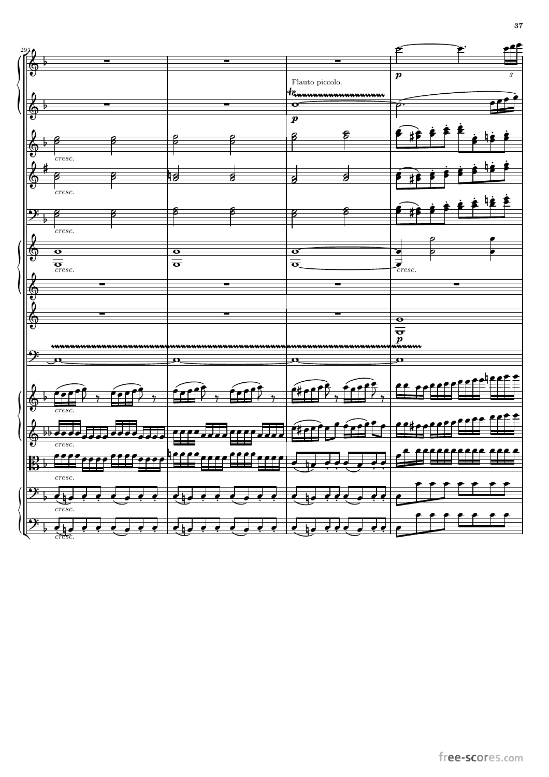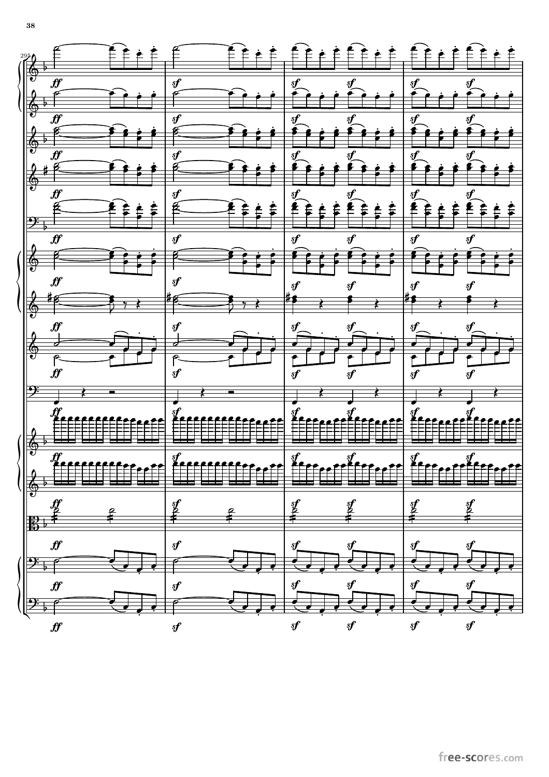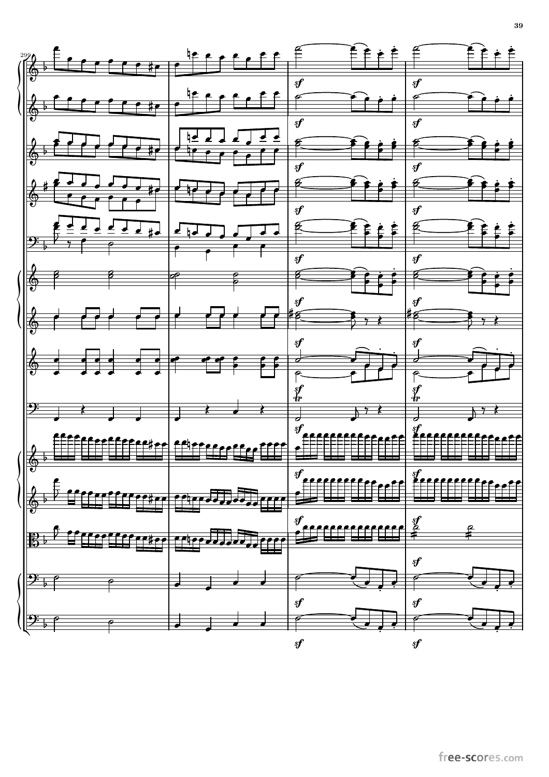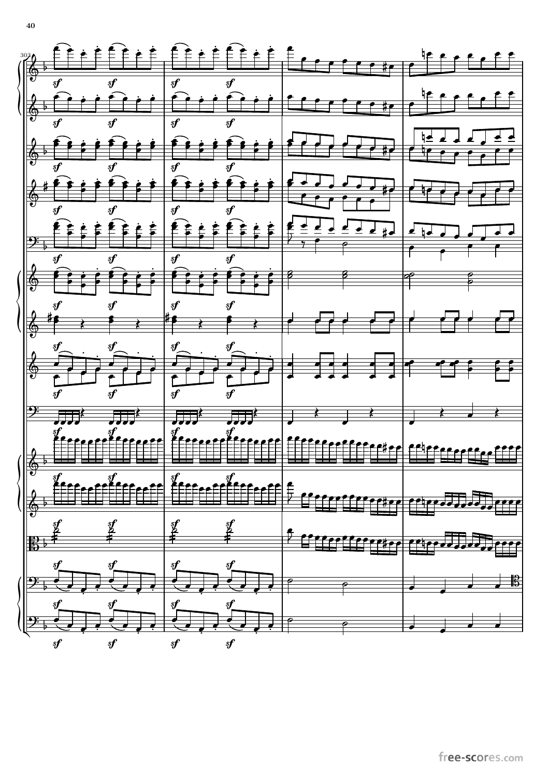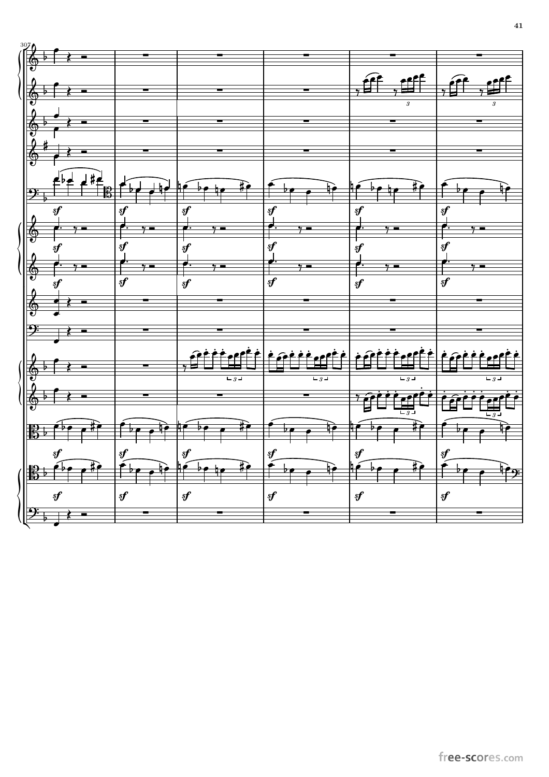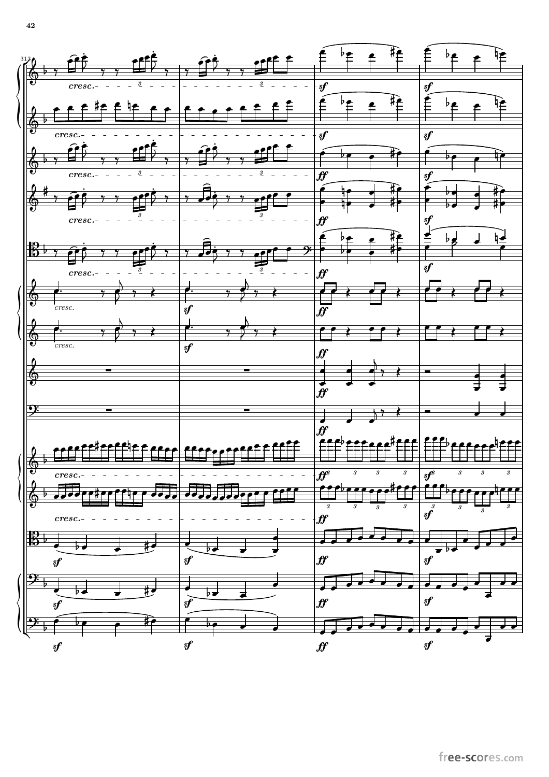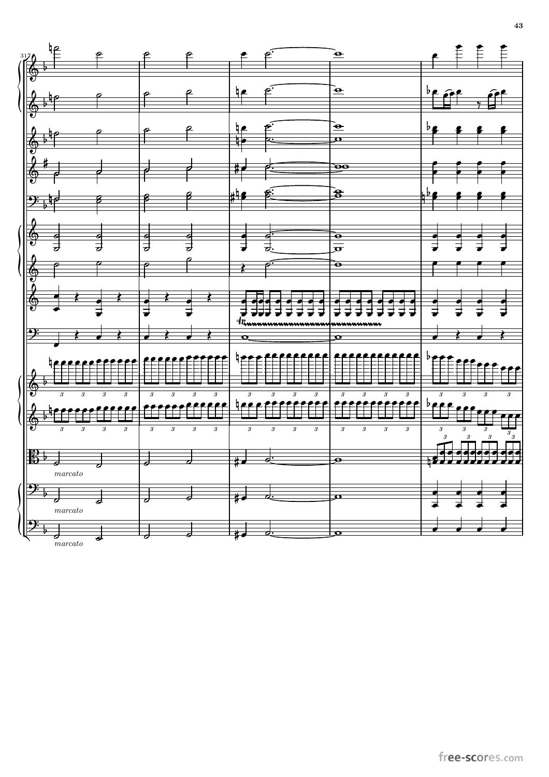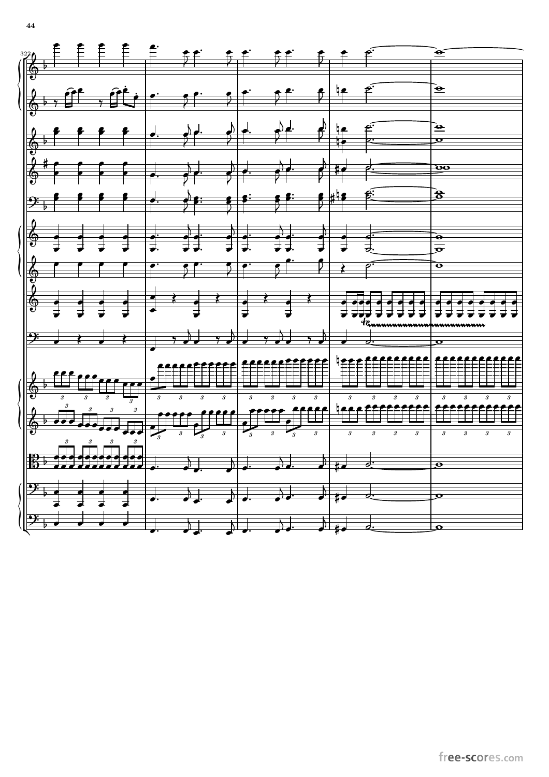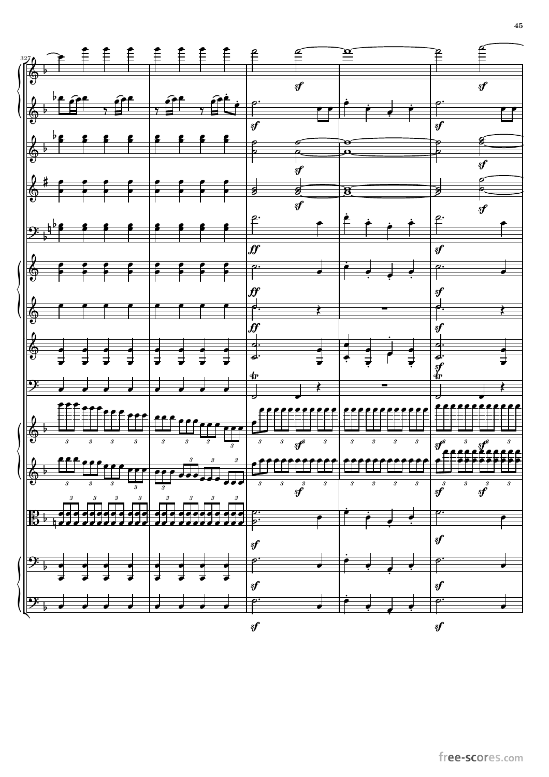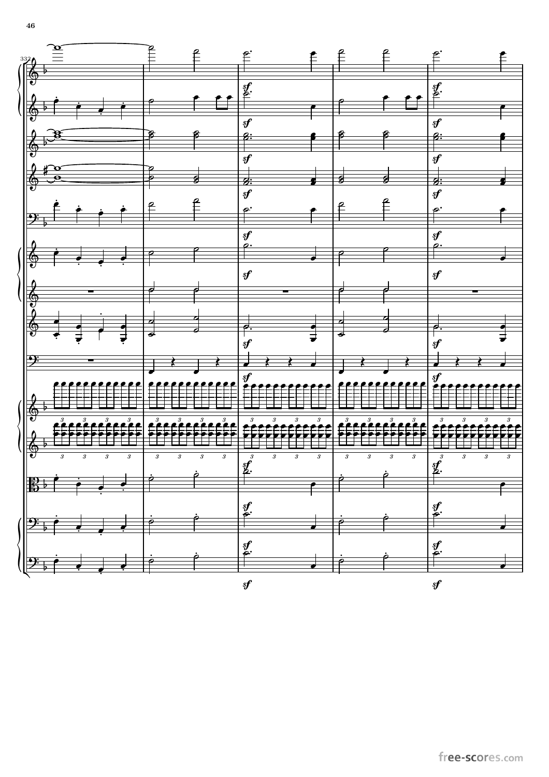

 ${\bf 46}$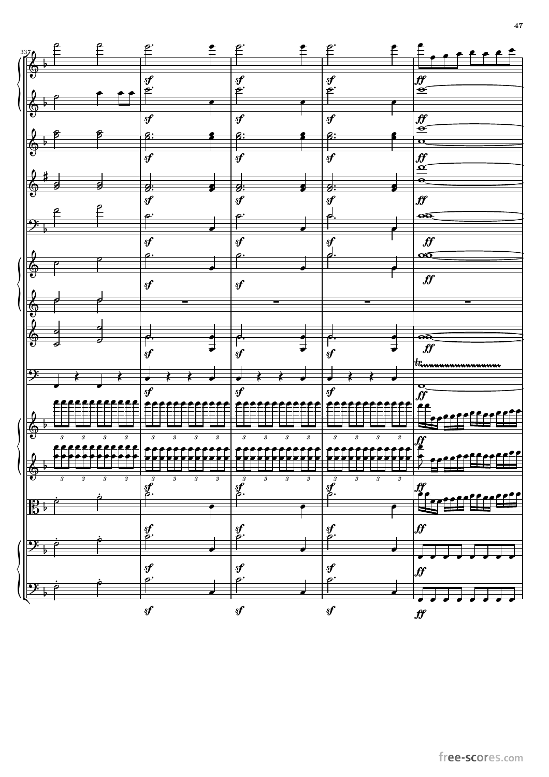